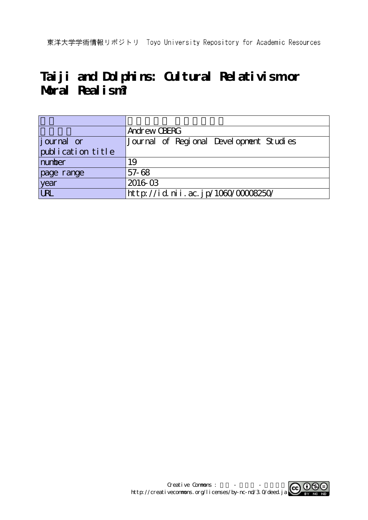東洋大学学術情報リポジトリ Toyo University Repository for Academic Resources

# **Taiji and Dolphins: Cultural Relativism or Moral Realism?**

|                   | Andrew CBERG                            |
|-------------------|-----------------------------------------|
| journal or        | Journal of Regional Development Studies |
| publication title |                                         |
| number            | 19                                      |
| page range        | $57 - 68$                               |
| year<br>URL       | 201603                                  |
|                   | http://id.nii.ac.jp/1060/00008250/      |

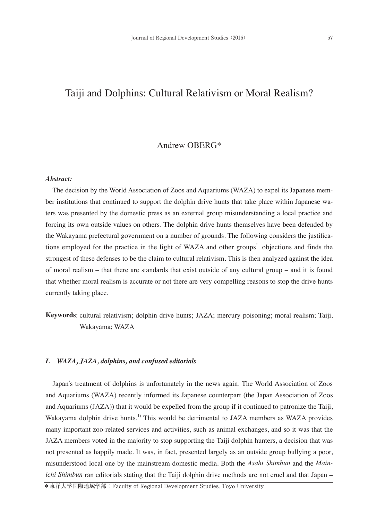# Taiji and Dolphins: Cultural Relativism or Moral Realism?

### Andrew OBERG\*

#### *Abstract:*

The decision by the World Association of Zoos and Aquariums (WAZA) to expel its Japanese member institutions that continued to support the dolphin drive hunts that take place within Japanese waters was presented by the domestic press as an external group misunderstanding a local practice and forcing its own outside values on others. The dolphin drive hunts themselves have been defended by the Wakayama prefectural government on a number of grounds. The following considers the justifications employed for the practice in the light of WAZA and other groups' objections and finds the strongest of these defenses to be the claim to cultural relativism. This is then analyzed against the idea of moral realism – that there are standards that exist outside of any cultural group – and it is found that whether moral realism is accurate or not there are very compelling reasons to stop the drive hunts currently taking place.

**Keywords**: cultural relativism; dolphin drive hunts; JAZA; mercury poisoning; moral realism; Taiji, Wakayama; WAZA

#### *I. WAZA, JAZA, dolphins, and confused editorials*

Japan's treatment of dolphins is unfortunately in the news again. The World Association of Zoos and Aquariums (WAZA) recently informed its Japanese counterpart (the Japan Association of Zoos and Aquariums (JAZA)) that it would be expelled from the group if it continued to patronize the Taiji, Wakayama dolphin drive hunts.<sup>1)</sup> This would be detrimental to JAZA members as WAZA provides many important zoo-related services and activities, such as animal exchanges, and so it was that the JAZA members voted in the majority to stop supporting the Taiji dolphin hunters, a decision that was not presented as happily made. It was, in fact, presented largely as an outside group bullying a poor, misunderstood local one by the mainstream domestic media. Both the *Asahi Shimbun* and the *Mainichi Shimbun* ran editorials stating that the Taiji dolphin drive methods are not cruel and that Japan –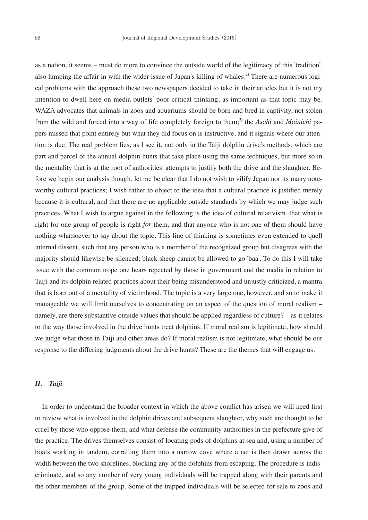as a nation, it seems – must do more to convince the outside world of the legitimacy of this 'tradition', also lumping the affair in with the wider issue of Japan's killing of whales.<sup>2)</sup> There are numerous logical problems with the approach these two newspapers decided to take in their articles but it is not my intention to dwell here on media outlets' poor critical thinking, as important as that topic may be. WAZA advocates that animals in zoos and aquariums should be born and bred in captivity, not stolen from the wild and forced into a way of life completely foreign to them;<sup>3)</sup> the *Asahi* and *Mainichi* papers missed that point entirely but what they did focus on is instructive, and it signals where our attention is due. The real problem lies, as I see it, not only in the Taiji dolphin drive's methods, which are part and parcel of the annual dolphin hunts that take place using the same techniques, but more so in the mentality that is at the root of authorities' attempts to justify both the drive and the slaughter. Before we begin our analysis though, let me be clear that I do not wish to vilify Japan nor its many noteworthy cultural practices; I wish rather to object to the idea that a cultural practice is justified merely because it is cultural, and that there are no applicable outside standards by which we may judge such practices. What I wish to argue against in the following is the idea of cultural relativism, that what is right for one group of people is right *for* them, and that anyone who is not one of them should have nothing whatsoever to say about the topic. This line of thinking is sometimes even extended to quell internal dissent, such that any person who is a member of the recognized group but disagrees with the majority should likewise be silenced; black sheep cannot be allowed to go 'baa'. To do this I will take issue with the common trope one hears repeated by those in government and the media in relation to Taiji and its dolphin related practices about their being misunderstood and unjustly criticized, a mantra that is born out of a mentality of victimhood. The topic is a very large one, however, and so to make it manageable we will limit ourselves to concentrating on an aspect of the question of moral realism – namely, are there substantive outside values that should be applied regardless of culture? – as it relates to the way those involved in the drive hunts treat dolphins. If moral realism is legitimate, how should we judge what those in Taiji and other areas do? If moral realism is not legitimate, what should be our response to the differing judgments about the drive hunts? These are the themes that will engage us.

#### *II. Taiji*

In order to understand the broader context in which the above conflict has arisen we will need first to review what is involved in the dolphin drives and subsequent slaughter, why such are thought to be cruel by those who oppose them, and what defense the community authorities in the prefecture give of the practice. The drives themselves consist of locating pods of dolphins at sea and, using a number of boats working in tandem, corralling them into a narrow cove where a net is then drawn across the width between the two shorelines, blocking any of the dolphins from escaping. The procedure is indiscriminate, and so any number of very young individuals will be trapped along with their parents and the other members of the group. Some of the trapped individuals will be selected for sale to zoos and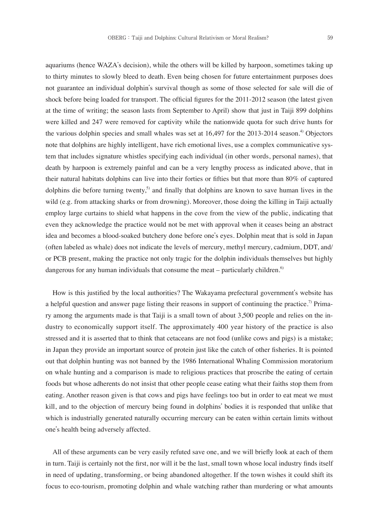aquariums (hence WAZA's decision), while the others will be killed by harpoon, sometimes taking up to thirty minutes to slowly bleed to death. Even being chosen for future entertainment purposes does not guarantee an individual dolphin's survival though as some of those selected for sale will die of shock before being loaded for transport. The official figures for the 2011-2012 season (the latest given at the time of writing; the season lasts from September to April) show that just in Taiji 899 dolphins were killed and 247 were removed for captivity while the nationwide quota for such drive hunts for the various dolphin species and small whales was set at  $16,497$  for the 2013-2014 season.<sup>4)</sup> Objectors note that dolphins are highly intelligent, have rich emotional lives, use a complex communicative system that includes signature whistles specifying each individual (in other words, personal names), that death by harpoon is extremely painful and can be a very lengthy process as indicated above, that in their natural habitats dolphins can live into their forties or fifties but that more than 80% of captured dolphins die before turning twenty,<sup>5)</sup> and finally that dolphins are known to save human lives in the wild (e.g. from attacking sharks or from drowning). Moreover, those doing the killing in Taiji actually employ large curtains to shield what happens in the cove from the view of the public, indicating that even they acknowledge the practice would not be met with approval when it ceases being an abstract idea and becomes a blood-soaked butchery done before one's eyes. Dolphin meat that is sold in Japan (often labeled as whale) does not indicate the levels of mercury, methyl mercury, cadmium, DDT, and/ or PCB present, making the practice not only tragic for the dolphin individuals themselves but highly dangerous for any human individuals that consume the meat – particularly children.<sup>6)</sup>

How is this justified by the local authorities? The Wakayama prefectural government's website has a helpful question and answer page listing their reasons in support of continuing the practice.<sup>7)</sup> Primary among the arguments made is that Taiji is a small town of about 3,500 people and relies on the industry to economically support itself. The approximately 400 year history of the practice is also stressed and it is asserted that to think that cetaceans are not food (unlike cows and pigs) is a mistake; in Japan they provide an important source of protein just like the catch of other fisheries. It is pointed out that dolphin hunting was not banned by the 1986 International Whaling Commission moratorium on whale hunting and a comparison is made to religious practices that proscribe the eating of certain foods but whose adherents do not insist that other people cease eating what their faiths stop them from eating. Another reason given is that cows and pigs have feelings too but in order to eat meat we must kill, and to the objection of mercury being found in dolphins' bodies it is responded that unlike that which is industrially generated naturally occurring mercury can be eaten within certain limits without one's health being adversely affected.

All of these arguments can be very easily refuted save one, and we will briefly look at each of them in turn. Taiji is certainly not the first, nor will it be the last, small town whose local industry finds itself in need of updating, transforming, or being abandoned altogether. If the town wishes it could shift its focus to eco-tourism, promoting dolphin and whale watching rather than murdering or what amounts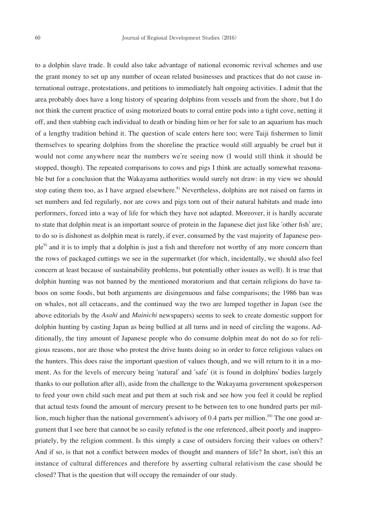to a dolphin slave trade. It could also take advantage of national economic revival schemes and use the grant money to set up any number of ocean related businesses and practices that do not cause international outrage, protestations, and petitions to immediately halt ongoing activities. I admit that the area probably does have a long history of spearing dolphins from vessels and from the shore, but I do not think the current practice of using motorized boats to corral entire pods into a tight cove, netting it off, and then stabbing each individual to death or binding him or her for sale to an aquarium has much of a lengthy tradition behind it. The question of scale enters here too; were Taiji fishermen to limit themselves to spearing dolphins from the shoreline the practice would still arguably be cruel but it would not come anywhere near the numbers we're seeing now (I would still think it should be stopped, though). The repeated comparisons to cows and pigs I think are actually somewhat reasonable but for a conclusion that the Wakayama authorities would surely not draw: in my view we should stop eating them too, as I have argued elsewhere.<sup>8)</sup> Nevertheless, dolphins are not raised on farms in set numbers and fed regularly, nor are cows and pigs torn out of their natural habitats and made into performers, forced into a way of life for which they have not adapted. Moreover, it is hardly accurate to state that dolphin meat is an important source of protein in the Japanese diet just like 'other fish' are; to do so is dishonest as dolphin meat is rarely, if ever, consumed by the vast majority of Japanese people<sup>9)</sup> and it is to imply that a dolphin is just a fish and therefore not worthy of any more concern than the rows of packaged cuttings we see in the supermarket (for which, incidentally, we should also feel concern at least because of sustainability problems, but potentially other issues as well). It is true that dolphin hunting was not banned by the mentioned moratorium and that certain religions do have taboos on some foods, but both arguments are disingenuous and false comparisons; the 1986 ban was on whales, not all cetaceans, and the continued way the two are lumped together in Japan (see the above editorials by the *Asahi* and *Mainichi* newspapers) seems to seek to create domestic support for dolphin hunting by casting Japan as being bullied at all turns and in need of circling the wagons. Additionally, the tiny amount of Japanese people who do consume dolphin meat do not do so for religious reasons, nor are those who protest the drive hunts doing so in order to force religious values on the hunters. This does raise the important question of values though, and we will return to it in a moment. As for the levels of mercury being 'natural' and 'safe' (it is found in dolphins' bodies largely thanks to our pollution after all), aside from the challenge to the Wakayama government spokesperson to feed your own child such meat and put them at such risk and see how you feel it could be replied that actual tests found the amount of mercury present to be between ten to one hundred parts per million, much higher than the national government's advisory of 0.4 parts per million.<sup>10)</sup> The one good argument that I see here that cannot be so easily refuted is the one referenced, albeit poorly and inappropriately, by the religion comment. Is this simply a case of outsiders forcing their values on others? And if so, is that not a conflict between modes of thought and manners of life? In short, isn't this an instance of cultural differences and therefore by asserting cultural relativism the case should be closed? That is the question that will occupy the remainder of our study.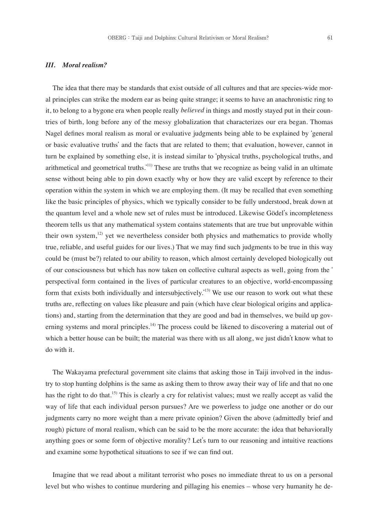#### *III. Moral realism?*

The idea that there may be standards that exist outside of all cultures and that are species-wide moral principles can strike the modern ear as being quite strange; it seems to have an anachronistic ring to it, to belong to a bygone era when people really *believed* in things and mostly stayed put in their countries of birth, long before any of the messy globalization that characterizes our era began. Thomas Nagel defines moral realism as moral or evaluative judgments being able to be explained by 'general or basic evaluative truths' and the facts that are related to them; that evaluation, however, cannot in turn be explained by something else, it is instead similar to 'physical truths, psychological truths, and arithmetical and geometrical truths.<sup>'11)</sup> These are truths that we recognize as being valid in an ultimate sense without being able to pin down exactly why or how they are valid except by reference to their operation within the system in which we are employing them. (It may be recalled that even something like the basic principles of physics, which we typically consider to be fully understood, break down at the quantum level and a whole new set of rules must be introduced. Likewise Gödel's incompleteness theorem tells us that any mathematical system contains statements that are true but unprovable within their own system, $1^{2}$  yet we nevertheless consider both physics and mathematics to provide wholly true, reliable, and useful guides for our lives.) That we may find such judgments to be true in this way could be (must be?) related to our ability to reason, which almost certainly developed biologically out of our consciousness but which has now taken on collective cultural aspects as well, going from the ' perspectival form contained in the lives of particular creatures to an objective, world-encompassing form that exists both individually and intersubjectively.<sup>'13)</sup> We use our reason to work out what these truths are, reflecting on values like pleasure and pain (which have clear biological origins and applications) and, starting from the determination that they are good and bad in themselves, we build up governing systems and moral principles.<sup>14)</sup> The process could be likened to discovering a material out of which a better house can be built; the material was there with us all along, we just didn't know what to do with it.

The Wakayama prefectural government site claims that asking those in Taiji involved in the industry to stop hunting dolphins is the same as asking them to throw away their way of life and that no one has the right to do that.<sup>15)</sup> This is clearly a cry for relativist values; must we really accept as valid the way of life that each individual person pursues? Are we powerless to judge one another or do our judgments carry no more weight than a mere private opinion? Given the above (admittedly brief and rough) picture of moral realism, which can be said to be the more accurate: the idea that behaviorally anything goes or some form of objective morality? Let's turn to our reasoning and intuitive reactions and examine some hypothetical situations to see if we can find out.

Imagine that we read about a militant terrorist who poses no immediate threat to us on a personal level but who wishes to continue murdering and pillaging his enemies – whose very humanity he de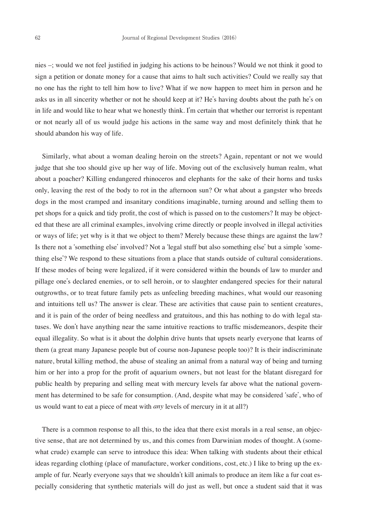nies –; would we not feel justified in judging his actions to be heinous? Would we not think it good to sign a petition or donate money for a cause that aims to halt such activities? Could we really say that no one has the right to tell him how to live? What if we now happen to meet him in person and he asks us in all sincerity whether or not he should keep at it? He's having doubts about the path he's on in life and would like to hear what we honestly think. I'm certain that whether our terrorist is repentant or not nearly all of us would judge his actions in the same way and most definitely think that he should abandon his way of life.

Similarly, what about a woman dealing heroin on the streets? Again, repentant or not we would judge that she too should give up her way of life. Moving out of the exclusively human realm, what about a poacher? Killing endangered rhinoceros and elephants for the sake of their horns and tusks only, leaving the rest of the body to rot in the afternoon sun? Or what about a gangster who breeds dogs in the most cramped and insanitary conditions imaginable, turning around and selling them to pet shops for a quick and tidy profit, the cost of which is passed on to the customers? It may be objected that these are all criminal examples, involving crime directly or people involved in illegal activities or ways of life; yet why is it that we object to them? Merely because these things are against the law? Is there not a 'something else' involved? Not a 'legal stuff but also something else' but a simple 'something else'? We respond to these situations from a place that stands outside of cultural considerations. If these modes of being were legalized, if it were considered within the bounds of law to murder and pillage one's declared enemies, or to sell heroin, or to slaughter endangered species for their natural outgrowths, or to treat future family pets as unfeeling breeding machines, what would our reasoning and intuitions tell us? The answer is clear. These are activities that cause pain to sentient creatures, and it is pain of the order of being needless and gratuitous, and this has nothing to do with legal statuses. We don't have anything near the same intuitive reactions to traffic misdemeanors, despite their equal illegality. So what is it about the dolphin drive hunts that upsets nearly everyone that learns of them (a great many Japanese people but of course non-Japanese people too)? It is their indiscriminate nature, brutal killing method, the abuse of stealing an animal from a natural way of being and turning him or her into a prop for the profit of aquarium owners, but not least for the blatant disregard for public health by preparing and selling meat with mercury levels far above what the national government has determined to be safe for consumption. (And, despite what may be considered 'safe', who of us would want to eat a piece of meat with *any* levels of mercury in it at all?)

There is a common response to all this, to the idea that there exist morals in a real sense, an objective sense, that are not determined by us, and this comes from Darwinian modes of thought. A (somewhat crude) example can serve to introduce this idea: When talking with students about their ethical ideas regarding clothing (place of manufacture, worker conditions, cost, etc.) I like to bring up the example of fur. Nearly everyone says that we shouldn't kill animals to produce an item like a fur coat especially considering that synthetic materials will do just as well, but once a student said that it was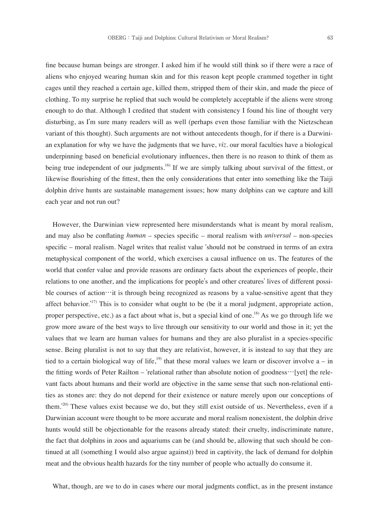fine because human beings are stronger. I asked him if he would still think so if there were a race of aliens who enjoyed wearing human skin and for this reason kept people crammed together in tight cages until they reached a certain age, killed them, stripped them of their skin, and made the piece of clothing. To my surprise he replied that such would be completely acceptable if the aliens were strong enough to do that. Although I credited that student with consistency I found his line of thought very disturbing, as I'm sure many readers will as well (perhaps even those familiar with the Nietzschean variant of this thought). Such arguments are not without antecedents though, for if there is a Darwinian explanation for why we have the judgments that we have, *viz*. our moral faculties have a biological underpinning based on beneficial evolutionary influences, then there is no reason to think of them as being true independent of our judgments.<sup>16)</sup> If we are simply talking about survival of the fittest, or likewise flourishing of the fittest, then the only considerations that enter into something like the Taiji dolphin drive hunts are sustainable management issues; how many dolphins can we capture and kill each year and not run out?

However, the Darwinian view represented here misunderstands what is meant by moral realism, and may also be conflating *human* – species specific – moral realism with *universal* – non-species specific – moral realism. Nagel writes that realist value 'should not be construed in terms of an extra metaphysical component of the world, which exercises a causal influence on us. The features of the world that confer value and provide reasons are ordinary facts about the experiences of people, their relations to one another, and the implications for people's and other creatures' lives of different possible courses of action…it is through being recognized as reasons by a value-sensitive agent that they affect behavior.<sup>'17)</sup> This is to consider what ought to be (be it a moral judgment, appropriate action, proper perspective, etc.) as a fact about what is, but a special kind of one.<sup>18)</sup> As we go through life we grow more aware of the best ways to live through our sensitivity to our world and those in it; yet the values that we learn are human values for humans and they are also pluralist in a species-specific sense. Being pluralist is not to say that they are relativist, however, it is instead to say that they are tied to a certain biological way of life,<sup>19)</sup> that these moral values we learn or discover involve  $a - in$ the fitting words of Peter Railton – 'relational rather than absolute notion of goodness $\cdots$ [yet] the relevant facts about humans and their world are objective in the same sense that such non-relational entities as stones are: they do not depend for their existence or nature merely upon our conceptions of them.<sup>20)</sup> These values exist because we do, but they still exist outside of us. Nevertheless, even if a Darwinian account were thought to be more accurate and moral realism nonexistent, the dolphin drive hunts would still be objectionable for the reasons already stated: their cruelty, indiscriminate nature, the fact that dolphins in zoos and aquariums can be (and should be, allowing that such should be continued at all (something I would also argue against)) bred in captivity, the lack of demand for dolphin meat and the obvious health hazards for the tiny number of people who actually do consume it.

What, though, are we to do in cases where our moral judgments conflict, as in the present instance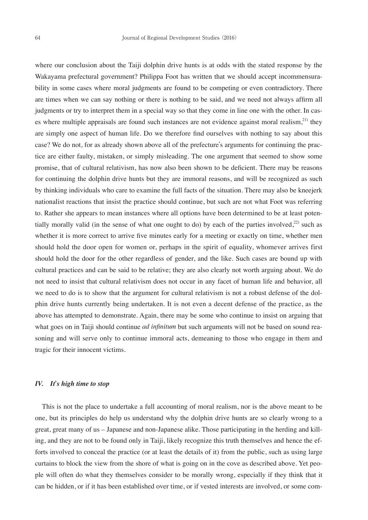where our conclusion about the Taiji dolphin drive hunts is at odds with the stated response by the Wakayama prefectural government? Philippa Foot has written that we should accept incommensurability in some cases where moral judgments are found to be competing or even contradictory. There are times when we can say nothing or there is nothing to be said, and we need not always affirm all judgments or try to interpret them in a special way so that they come in line one with the other. In cases where multiple appraisals are found such instances are not evidence against moral realism, $2^{11}$  they are simply one aspect of human life. Do we therefore find ourselves with nothing to say about this case? We do not, for as already shown above all of the prefecture's arguments for continuing the practice are either faulty, mistaken, or simply misleading. The one argument that seemed to show some promise, that of cultural relativism, has now also been shown to be deficient. There may be reasons for continuing the dolphin drive hunts but they are immoral reasons, and will be recognized as such by thinking individuals who care to examine the full facts of the situation. There may also be kneejerk nationalist reactions that insist the practice should continue, but such are not what Foot was referring to. Rather she appears to mean instances where all options have been determined to be at least potentially morally valid (in the sense of what one ought to do) by each of the parties involved,<sup>22)</sup> such as whether it is more correct to arrive five minutes early for a meeting or exactly on time, whether men should hold the door open for women or, perhaps in the spirit of equality, whomever arrives first should hold the door for the other regardless of gender, and the like. Such cases are bound up with cultural practices and can be said to be relative; they are also clearly not worth arguing about. We do not need to insist that cultural relativism does not occur in any facet of human life and behavior, all we need to do is to show that the argument for cultural relativism is not a robust defense of the dolphin drive hunts currently being undertaken. It is not even a decent defense of the practice, as the above has attempted to demonstrate. Again, there may be some who continue to insist on arguing that what goes on in Taiji should continue *ad infinitum* but such arguments will not be based on sound reasoning and will serve only to continue immoral acts, demeaning to those who engage in them and tragic for their innocent victims.

#### *IV. It***'***s high time to stop*

This is not the place to undertake a full accounting of moral realism, nor is the above meant to be one, but its principles do help us understand why the dolphin drive hunts are so clearly wrong to a great, great many of us – Japanese and non-Japanese alike. Those participating in the herding and killing, and they are not to be found only in Taiji, likely recognize this truth themselves and hence the efforts involved to conceal the practice (or at least the details of it) from the public, such as using large curtains to block the view from the shore of what is going on in the cove as described above. Yet people will often do what they themselves consider to be morally wrong, especially if they think that it can be hidden, or if it has been established over time, or if vested interests are involved, or some com-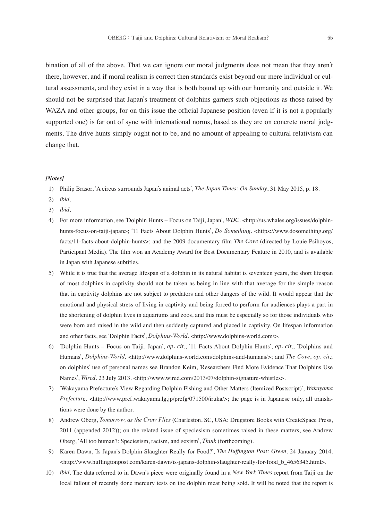bination of all of the above. That we can ignore our moral judgments does not mean that they aren't there, however, and if moral realism is correct then standards exist beyond our mere individual or cultural assessments, and they exist in a way that is both bound up with our humanity and outside it. We should not be surprised that Japan's treatment of dolphins garners such objections as those raised by WAZA and other groups, for on this issue the official Japanese position (even if it is not a popularly supported one) is far out of sync with international norms, based as they are on concrete moral judgments. The drive hunts simply ought not to be, and no amount of appealing to cultural relativism can change that.

#### *[Notes]*

- 1) Philip Brasor, 'A circus surrounds Japan's animal acts', *The Japan Times: On Sunday*, 31 May 2015, p. 18.
- 2) *ibid*.
- 3) *ibid*.
- 4) For more information, see 'Dolphin Hunts Focus on Taiji, Japan', *WDC*. <http://us.whales.org/issues/dolphinhunts-focus-on-taiji-japan>; '11 Facts About Dolphin Hunts', *Do Something*. <https://www.dosomething.org/ facts/11-facts-about-dolphin-hunts>; and the 2009 documentary film *The Cove* (directed by Louie Psihoyos, Participant Media). The film won an Academy Award for Best Documentary Feature in 2010, and is available in Japan with Japanese subtitles.
- 5) While it is true that the average lifespan of a dolphin in its natural habitat is seventeen years, the short lifespan of most dolphins in captivity should not be taken as being in line with that average for the simple reason that in captivity dolphins are not subject to predators and other dangers of the wild. It would appear that the emotional and physical stress of living in captivity and being forced to perform for audiences plays a part in the shortening of dolphin lives in aquariums and zoos, and this must be especially so for those individuals who were born and raised in the wild and then suddenly captured and placed in captivity. On lifespan information and other facts, see 'Dolphin Facts', *Dolphins-World*. <http://www.dolphins-world.com/>.
- 6) 'Dolphin Hunts Focus on Taiji, Japan', *op. cit*.; '11 Facts About Dolphin Hunts', *op. cit*.; 'Dolphins and Humans', *Dolphins-World*. <http://www.dolphins-world.com/dolphins-and-humans/>; and *The Cove*, *op. cit*.; on dolphins' use of personal names see Brandon Keim, 'Researchers Find More Evidence That Dolphins Use Names', *Wired*. 23 July 2013. <http://www.wired.com/2013/07/dolphin-signature-whistles>.
- 7) 'Wakayama Prefecture's View Regarding Dolphin Fishing and Other Matters (Itemized Postscript)', *Wakayama Prefecture.* <http://www.pref.wakayama.lg.jp/prefg/071500/iruka/>; the page is in Japanese only, all translations were done by the author.
- 8) Andrew Oberg, *Tomorrow, as the Crow Flies* (Charleston, SC, USA: Drugstore Books with CreateSpace Press, 2011 (appended 2012)); on the related issue of speciesism sometimes raised in these matters, see Andrew Oberg, 'All too human?: Speciesism, racism, and sexism', *Think* (forthcoming).
- 9) Karen Dawn, 'Is Japan's Dolphin Slaughter Really for Food?', *The Huffington Post: Green*. 24 January 2014. <http://www.huffingtonpost.com/karen-dawn/is-japans-dolphin-slaughter-really-for-food\_b\_4656345.html>.
- 10) *ibid*. The data referred to in Dawn's piece were originally found in a *New York Times* report from Taiji on the local fallout of recently done mercury tests on the dolphin meat being sold. It will be noted that the report is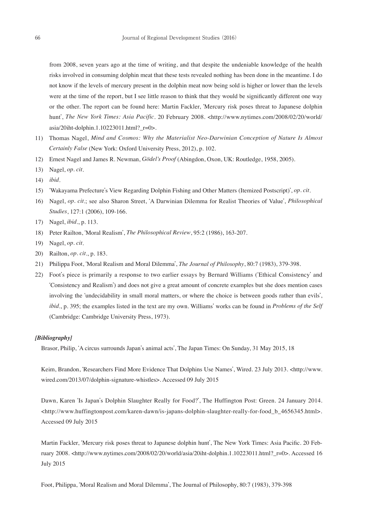from 2008, seven years ago at the time of writing, and that despite the undeniable knowledge of the health risks involved in consuming dolphin meat that these tests revealed nothing has been done in the meantime. I do not know if the levels of mercury present in the dolphin meat now being sold is higher or lower than the levels were at the time of the report, but I see little reason to think that they would be significantly different one way or the other. The report can be found here: Martin Fackler, 'Mercury risk poses threat to Japanese dolphin hunt', *The New York Times: Asia Pacific*. 20 February 2008. <http://www.nytimes.com/2008/02/20/world/ asia/20iht-dolphin.1.10223011.html?\_r=0>.

- 11) Thomas Nagel, *Mind and Cosmos: Why the Materialist Neo-Darwinian Conception of Nature Is Almost Certainly False* (New York: Oxford University Press, 2012), p. 102.
- 12) Ernest Nagel and James R. Newman, *Gödel's Proof* (Abingdon, Oxon, UK: Routledge, 1958, 2005).
- 13) Nagel, *op. cit*.
- 14) *ibid*.
- 15) 'Wakayama Prefecture's View Regarding Dolphin Fishing and Other Matters (Itemized Postscript)', *op. cit*.
- 16) Nagel, *op. cit*.; see also Sharon Street, 'A Darwinian Dilemma for Realist Theories of Value', *Philosophical Studies*, 127:1 (2006), 109-166.
- 17) Nagel, *ibid*., p. 113.
- 18) Peter Railton, 'Moral Realism', *The Philosophical Review*, 95:2 (1986), 163-207.
- 19) Nagel, *op. cit*.
- 20) Railton, *op. cit*., p. 183.
- 21) Philippa Foot, 'Moral Realism and Moral Dilemma', *The Journal of Philosophy*, 80:7 (1983), 379-398.
- 22) Foot's piece is primarily a response to two earlier essays by Bernard Williams ('Ethical Consistency' and 'Consistency and Realism') and does not give a great amount of concrete examples but she does mention cases involving the 'undecidability in small moral matters, or where the choice is between goods rather than evils', *ibid*., p. 395; the examples listed in the text are my own. Williams' works can be found in *Problems of the Self*  (Cambridge: Cambridge University Press, 1973).

#### *[Bibliography]*

Brasor, Philip, 'A circus surrounds Japan's animal acts', The Japan Times: On Sunday, 31 May 2015, 18

 Keim, Brandon, 'Researchers Find More Evidence That Dolphins Use Names', Wired. 23 July 2013. <http://www. wired.com/2013/07/dolphin-signature-whistles>. Accessed 09 July 2015

 Dawn, Karen 'Is Japan's Dolphin Slaughter Really for Food?', The Huffington Post: Green. 24 January 2014. <http://www.huffingtonpost.com/karen-dawn/is-japans-dolphin-slaughter-really-for-food\_b\_4656345.html>. Accessed 09 July 2015

 Martin Fackler, 'Mercury risk poses threat to Japanese dolphin hunt', The New York Times: Asia Pacific. 20 February 2008. <http://www.nytimes.com/2008/02/20/world/asia/20iht-dolphin.1.10223011.html? r=0>. Accessed 16 July 2015

Foot, Philippa, 'Moral Realism and Moral Dilemma', The Journal of Philosophy, 80:7 (1983), 379-398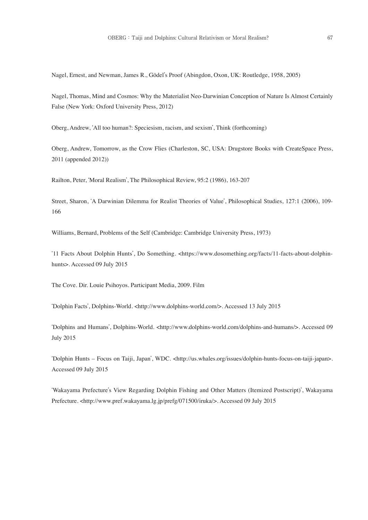Nagel, Ernest, and Newman, James R., Gödel's Proof (Abingdon, Oxon, UK: Routledge, 1958, 2005)

 Nagel, Thomas, Mind and Cosmos: Why the Materialist Neo-Darwinian Conception of Nature Is Almost Certainly False (New York: Oxford University Press, 2012)

Oberg, Andrew, 'All too human?: Speciesism, racism, and sexism', Think (forthcoming)

 Oberg, Andrew, Tomorrow, as the Crow Flies (Charleston, SC, USA: Drugstore Books with CreateSpace Press, 2011 (appended 2012))

Railton, Peter, 'Moral Realism', The Philosophical Review, 95:2 (1986), 163-207

 Street, Sharon, 'A Darwinian Dilemma for Realist Theories of Value', Philosophical Studies, 127:1 (2006), 109- 166

Williams, Bernard, Problems of the Self (Cambridge: Cambridge University Press, 1973)

'11 Facts About Dolphin Hunts', Do Something. <https://www.dosomething.org/facts/11-facts-about-dolphinhunts>. Accessed 09 July 2015

The Cove. Dir. Louie Psihoyos. Participant Media, 2009. Film

'Dolphin Facts', Dolphins-World. <http://www.dolphins-world.com/>. Accessed 13 July 2015

'Dolphins and Humans', Dolphins-World. <http://www.dolphins-world.com/dolphins-and-humans/>. Accessed 09 July 2015

'Dolphin Hunts – Focus on Taiji, Japan', WDC. <http://us.whales.org/issues/dolphin-hunts-focus-on-taiji-japan>. Accessed 09 July 2015

'Wakayama Prefecture's View Regarding Dolphin Fishing and Other Matters (Itemized Postscript)', Wakayama Prefecture. <http://www.pref.wakayama.lg.jp/prefg/071500/iruka/>. Accessed 09 July 2015